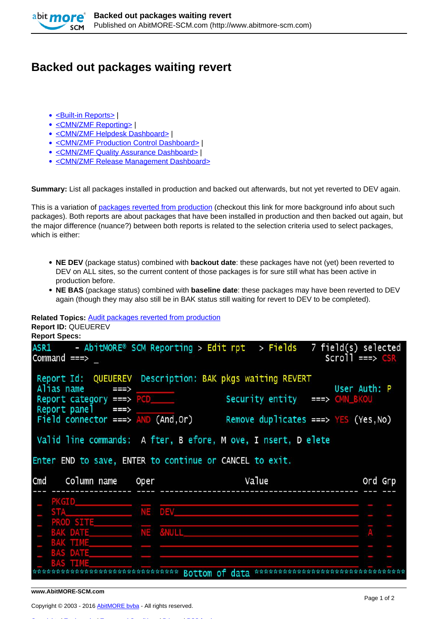

## **Backed out packages waiting revert**

- [<Built-in Reports>](http://www.abitmore-scm.com/taxonomy/term/69) |
- [<CMN/ZMF Reporting>](http://www.abitmore-scm.com/taxonomy/term/12) |
- [<CMN/ZMF Helpdesk Dashboard>](http://www.abitmore-scm.com/taxonomy/term/74) I
- [<CMN/ZMF Production Control Dashboard>](http://www.abitmore-scm.com/taxonomy/term/82) |
- [<CMN/ZMF Quality Assurance Dashboard>](http://www.abitmore-scm.com/taxonomy/term/83) |
- [<CMN/ZMF Release Management Dashboard>](http://www.abitmore-scm.com/taxonomy/term/84)

**Summary:** List all packages installed in production and backed out afterwards, but not yet reverted to DEV again.

This is a variation of [packages reverted from production](http://www.abitmore-scm.com/products/reporting/builtin-reports/audrvprd) (checkout this link for more background info about such packages). Both reports are about packages that have been installed in production and then backed out again, but the major difference (nuance?) between both reports is related to the selection criteria used to select packages, which is either:

- **NE DEV** (package status) combined with **backout date**: these packages have not (yet) been reverted to DEV on ALL sites, so the current content of those packages is for sure still what has been active in production before.
- **NE BAS** (package status) combined with **baseline date**: these packages may have been reverted to DEV again (though they may also still be in BAK status still waiting for revert to DEV to be completed).

## **Related Topics:** [Audit packages reverted from production](http://www.abitmore-scm.com/products/reporting/builtin-reports/audrvprd)  **Report ID:** QUEUEREV

| Report Id: QUEUEREV Description: BAK pkgs waiting REVERT<br>Security entity ===> CMN_BKOU | User Auth: P                                                                                                             |
|-------------------------------------------------------------------------------------------|--------------------------------------------------------------------------------------------------------------------------|
| Remove duplicates ===> $YES$ (Yes, No)                                                    |                                                                                                                          |
| Value                                                                                     | Ord Grp                                                                                                                  |
|                                                                                           |                                                                                                                          |
|                                                                                           |                                                                                                                          |
|                                                                                           |                                                                                                                          |
|                                                                                           |                                                                                                                          |
|                                                                                           |                                                                                                                          |
|                                                                                           |                                                                                                                          |
|                                                                                           | Valid line commands: A fter, B efore, M ove, I nsert, D elete<br>Enter END to save, ENTER to continue or CANCEL to exit. |

**www.AbitMORE-SCM.com**

Copyright © 2003 - 2016 [AbitMORE bvba](http://www.abitmore.be) - All rights reserved.

[Copyrights](http://www.abitmore-scm.com/legal/copyrights) | [Trademarks](http://www.abitmore-scm.com/legal/trademarks) | [Terms and Conditions](http://www.abitmore-scm.com/legal/terms) | [Privacy](http://www.abitmore-scm.com/legal/privacy) | [RSS feeds](http://www.abitmore-scm.com/rss.xml)